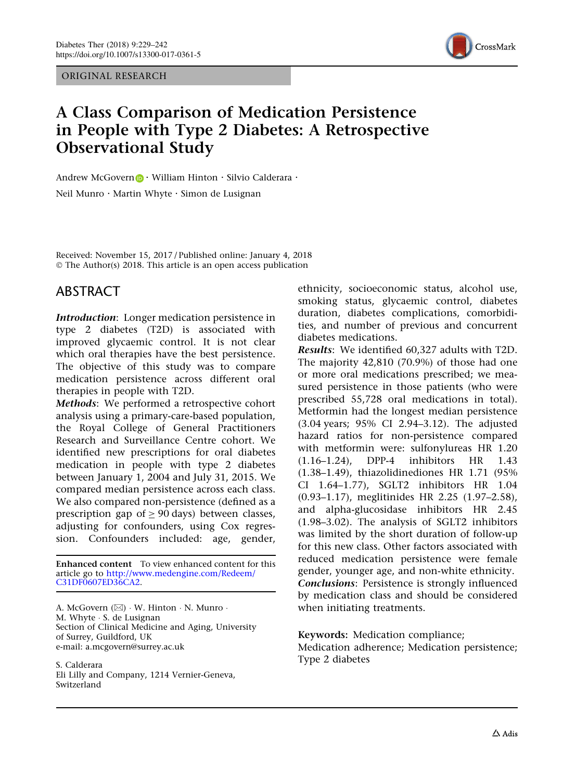ORIGINAL RESEARCH



# A Class Comparison of Medication Persistence in People with Type 2 Diabetes: A Retrospective Observational Study

Andrew McGovern **D** · William Hinton · Silvio Calderara · Neil Munro · Martin Whyte · Simon de Lusignan

Received: November 15, 2017 / Published online: January 4, 2018 © The Author(s) 2018. This article is an open access publication

# ABSTRACT

Introduction: Longer medication persistence in type 2 diabetes (T2D) is associated with improved glycaemic control. It is not clear which oral therapies have the best persistence. The objective of this study was to compare medication persistence across different oral therapies in people with T2D.

Methods: We performed a retrospective cohort analysis using a primary-care-based population, the Royal College of General Practitioners Research and Surveillance Centre cohort. We identified new prescriptions for oral diabetes medication in people with type 2 diabetes between January 1, 2004 and July 31, 2015. We compared median persistence across each class. We also compared non-persistence (defined as a prescription gap of  $> 90$  days) between classes, adjusting for confounders, using Cox regression. Confounders included: age, gender,

Enhanced content To view enhanced content for this article go to [http://www.medengine.com/Redeem/](http://www.medengine.com/Redeem/C31DF0607ED36CA2) [C31DF0607ED36CA2.](http://www.medengine.com/Redeem/C31DF0607ED36CA2)

A. McGovern (⊠) · W. Hinton · N. Munro · M. Whyte - S. de Lusignan Section of Clinical Medicine and Aging, University of Surrey, Guildford, UK e-mail: a.mcgovern@surrey.ac.uk

S. Calderara Eli Lilly and Company, 1214 Vernier-Geneva, Switzerland

ethnicity, socioeconomic status, alcohol use, smoking status, glycaemic control, diabetes duration, diabetes complications, comorbidities, and number of previous and concurrent diabetes medications.

Results: We identified 60,327 adults with T2D. The majority 42,810 (70.9%) of those had one or more oral medications prescribed; we measured persistence in those patients (who were prescribed 55,728 oral medications in total). Metformin had the longest median persistence (3.04 years; 95% CI 2.94–3.12). The adjusted hazard ratios for non-persistence compared with metformin were: sulfonylureas HR 1.20 (1.16–1.24), DPP-4 inhibitors HR 1.43 (1.38–1.49), thiazolidinediones HR 1.71 (95% CI 1.64–1.77), SGLT2 inhibitors HR 1.04 (0.93–1.17), meglitinides HR 2.25 (1.97–2.58), and alpha-glucosidase inhibitors HR 2.45 (1.98–3.02). The analysis of SGLT2 inhibitors was limited by the short duration of follow-up for this new class. Other factors associated with reduced medication persistence were female gender, younger age, and non-white ethnicity. Conclusions: Persistence is strongly influenced by medication class and should be considered when initiating treatments.

Keywords: Medication compliance;

Medication adherence; Medication persistence; Type 2 diabetes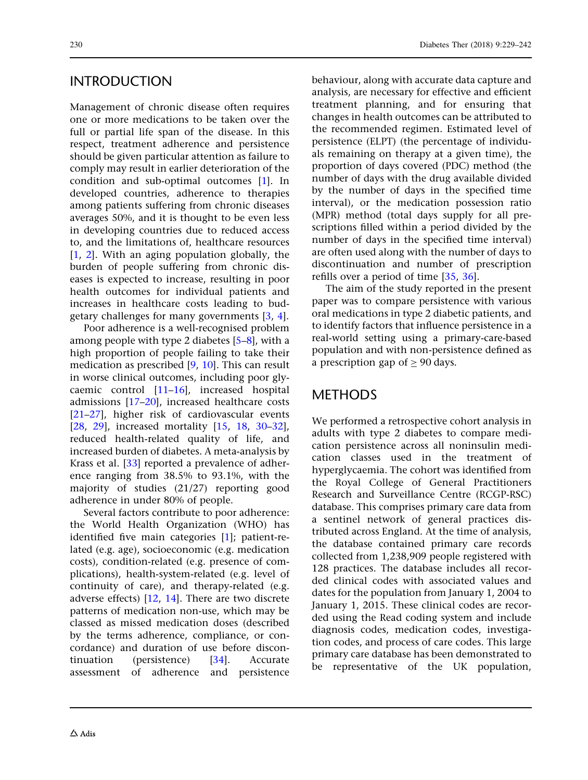### INTRODUCTION

Management of chronic disease often requires one or more medications to be taken over the full or partial life span of the disease. In this respect, treatment adherence and persistence should be given particular attention as failure to comply may result in earlier deterioration of the condition and sub-optimal outcomes [[1\]](#page-10-0). In developed countries, adherence to therapies among patients suffering from chronic diseases averages 50%, and it is thought to be even less in developing countries due to reduced access to, and the limitations of, healthcare resources [\[1,](#page-10-0) [2\]](#page-10-0). With an aging population globally, the burden of people suffering from chronic diseases is expected to increase, resulting in poor health outcomes for individual patients and increases in healthcare costs leading to budgetary challenges for many governments [[3,](#page-10-0) [4\]](#page-10-0).

Poor adherence is a well-recognised problem among people with type 2 diabetes [[5–](#page-10-0)[8](#page-11-0)], with a high proportion of people failing to take their medication as prescribed  $[9, 10]$  $[9, 10]$  $[9, 10]$  $[9, 10]$ . This can result in worse clinical outcomes, including poor glycaemic control [\[11–16](#page-11-0)], increased hospital admissions [\[17–20](#page-11-0)], increased healthcare costs [\[21–27](#page-11-0)], higher risk of cardiovascular events [\[28,](#page-11-0) [29\]](#page-11-0), increased mortality [\[15,](#page-11-0) [18,](#page-11-0) [30–](#page-11-0)[32](#page-12-0)], reduced health-related quality of life, and increased burden of diabetes. A meta-analysis by Krass et al. [[33](#page-12-0)] reported a prevalence of adherence ranging from 38.5% to 93.1%, with the majority of studies (21/27) reporting good adherence in under 80% of people.

Several factors contribute to poor adherence: the World Health Organization (WHO) has identified five main categories [\[1](#page-10-0)]; patient-related (e.g. age), socioeconomic (e.g. medication costs), condition-related (e.g. presence of complications), health-system-related (e.g. level of continuity of care), and therapy-related (e.g. adverse effects) [\[12,](#page-11-0) [14\]](#page-11-0). There are two discrete patterns of medication non-use, which may be classed as missed medication doses (described by the terms adherence, compliance, or concordance) and duration of use before discontinuation (persistence) [[34](#page-12-0)]. Accurate assessment of adherence and persistence

behaviour, along with accurate data capture and analysis, are necessary for effective and efficient treatment planning, and for ensuring that changes in health outcomes can be attributed to the recommended regimen. Estimated level of persistence (ELPT) (the percentage of individuals remaining on therapy at a given time), the proportion of days covered (PDC) method (the number of days with the drug available divided by the number of days in the specified time interval), or the medication possession ratio (MPR) method (total days supply for all prescriptions filled within a period divided by the number of days in the specified time interval) are often used along with the number of days to discontinuation and number of prescription refills over a period of time [[35](#page-12-0), [36\]](#page-12-0).

The aim of the study reported in the present paper was to compare persistence with various oral medications in type 2 diabetic patients, and to identify factors that influence persistence in a real-world setting using a primary-care-based population and with non-persistence defined as a prescription gap of  $\geq 90$  days.

# METHODS

We performed a retrospective cohort analysis in adults with type 2 diabetes to compare medication persistence across all noninsulin medication classes used in the treatment of hyperglycaemia. The cohort was identified from the Royal College of General Practitioners Research and Surveillance Centre (RCGP-RSC) database. This comprises primary care data from a sentinel network of general practices distributed across England. At the time of analysis, the database contained primary care records collected from 1,238,909 people registered with 128 practices. The database includes all recorded clinical codes with associated values and dates for the population from January 1, 2004 to January 1, 2015. These clinical codes are recorded using the Read coding system and include diagnosis codes, medication codes, investigation codes, and process of care codes. This large primary care database has been demonstrated to be representative of the UK population,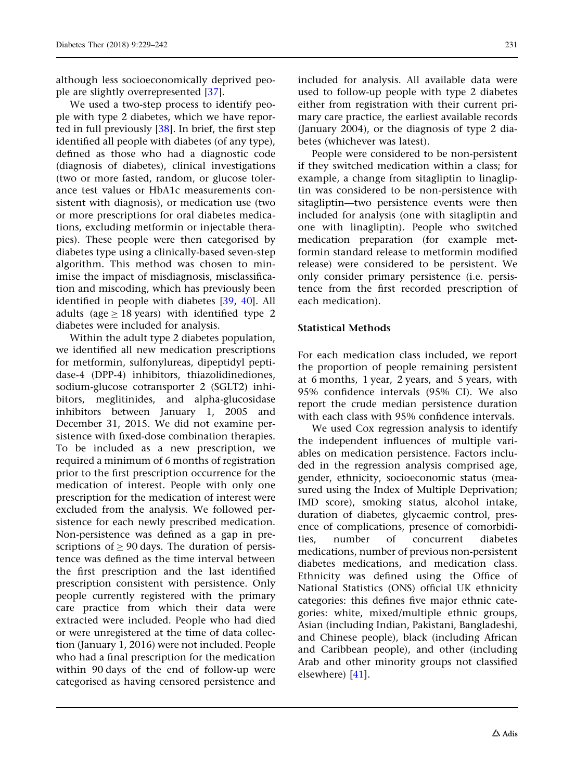although less socioeconomically deprived people are slightly overrepresented [\[37\]](#page-12-0).

We used a two-step process to identify people with type 2 diabetes, which we have reported in full previously [\[38\]](#page-12-0). In brief, the first step identified all people with diabetes (of any type), defined as those who had a diagnostic code (diagnosis of diabetes), clinical investigations (two or more fasted, random, or glucose tolerance test values or HbA1c measurements consistent with diagnosis), or medication use (two or more prescriptions for oral diabetes medications, excluding metformin or injectable therapies). These people were then categorised by diabetes type using a clinically-based seven-step algorithm. This method was chosen to minimise the impact of misdiagnosis, misclassification and miscoding, which has previously been identified in people with diabetes [[39](#page-12-0), [40\]](#page-12-0). All adults (age  $\geq$  18 years) with identified type 2 diabetes were included for analysis.

Within the adult type 2 diabetes population, we identified all new medication prescriptions for metformin, sulfonylureas, dipeptidyl peptidase-4 (DPP-4) inhibitors, thiazolidinediones, sodium-glucose cotransporter 2 (SGLT2) inhibitors, meglitinides, and alpha-glucosidase inhibitors between January 1, 2005 and December 31, 2015. We did not examine persistence with fixed-dose combination therapies. To be included as a new prescription, we required a minimum of 6 months of registration prior to the first prescription occurrence for the medication of interest. People with only one prescription for the medication of interest were excluded from the analysis. We followed persistence for each newly prescribed medication. Non-persistence was defined as a gap in prescriptions of  $\geq 90$  days. The duration of persistence was defined as the time interval between the first prescription and the last identified prescription consistent with persistence. Only people currently registered with the primary care practice from which their data were extracted were included. People who had died or were unregistered at the time of data collection (January 1, 2016) were not included. People who had a final prescription for the medication within 90 days of the end of follow-up were categorised as having censored persistence and included for analysis. All available data were used to follow-up people with type 2 diabetes either from registration with their current primary care practice, the earliest available records (January 2004), or the diagnosis of type 2 diabetes (whichever was latest).

People were considered to be non-persistent if they switched medication within a class; for example, a change from sitagliptin to linagliptin was considered to be non-persistence with sitagliptin—two persistence events were then included for analysis (one with sitagliptin and one with linagliptin). People who switched medication preparation (for example metformin standard release to metformin modified release) were considered to be persistent. We only consider primary persistence (i.e. persistence from the first recorded prescription of each medication).

#### Statistical Methods

For each medication class included, we report the proportion of people remaining persistent at 6 months, 1 year, 2 years, and 5 years, with 95% confidence intervals (95% CI). We also report the crude median persistence duration with each class with 95% confidence intervals.

We used Cox regression analysis to identify the independent influences of multiple variables on medication persistence. Factors included in the regression analysis comprised age, gender, ethnicity, socioeconomic status (measured using the Index of Multiple Deprivation; IMD score), smoking status, alcohol intake, duration of diabetes, glycaemic control, presence of complications, presence of comorbidities, number of concurrent diabetes medications, number of previous non-persistent diabetes medications, and medication class. Ethnicity was defined using the Office of National Statistics (ONS) official UK ethnicity categories: this defines five major ethnic categories: white, mixed/multiple ethnic groups, Asian (including Indian, Pakistani, Bangladeshi, and Chinese people), black (including African and Caribbean people), and other (including Arab and other minority groups not classified elsewhere) [[41\]](#page-12-0).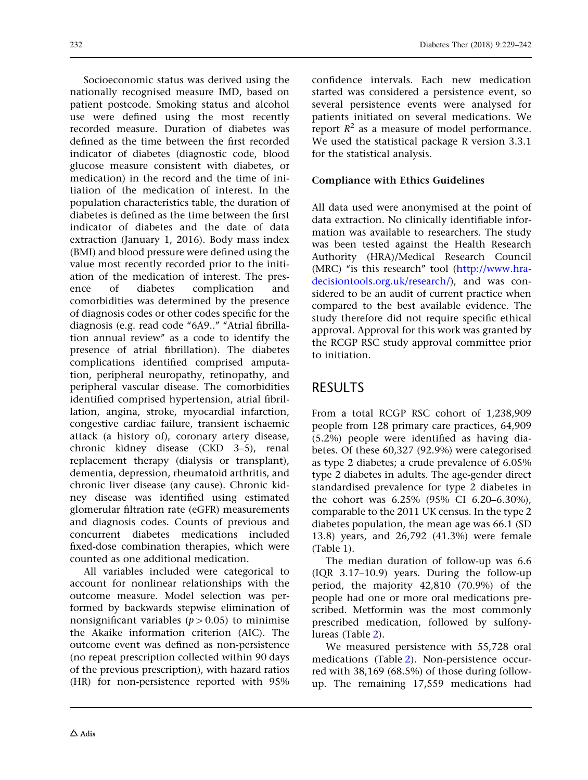Socioeconomic status was derived using the nationally recognised measure IMD, based on patient postcode. Smoking status and alcohol use were defined using the most recently recorded measure. Duration of diabetes was defined as the time between the first recorded indicator of diabetes (diagnostic code, blood glucose measure consistent with diabetes, or medication) in the record and the time of initiation of the medication of interest. In the population characteristics table, the duration of diabetes is defined as the time between the first indicator of diabetes and the date of data extraction (January 1, 2016). Body mass index (BMI) and blood pressure were defined using the value most recently recorded prior to the initiation of the medication of interest. The presence of diabetes complication and comorbidities was determined by the presence of diagnosis codes or other codes specific for the diagnosis (e.g. read code "6A9.." "Atrial fibrillation annual review'' as a code to identify the presence of atrial fibrillation). The diabetes complications identified comprised amputation, peripheral neuropathy, retinopathy, and peripheral vascular disease. The comorbidities identified comprised hypertension, atrial fibrillation, angina, stroke, myocardial infarction, congestive cardiac failure, transient ischaemic attack (a history of), coronary artery disease, chronic kidney disease (CKD 3–5), renal replacement therapy (dialysis or transplant), dementia, depression, rheumatoid arthritis, and chronic liver disease (any cause). Chronic kidney disease was identified using estimated glomerular filtration rate (eGFR) measurements and diagnosis codes. Counts of previous and concurrent diabetes medications included fixed-dose combination therapies, which were counted as one additional medication.

All variables included were categorical to account for nonlinear relationships with the outcome measure. Model selection was performed by backwards stepwise elimination of nonsignificant variables ( $p > 0.05$ ) to minimise the Akaike information criterion (AIC). The outcome event was defined as non-persistence (no repeat prescription collected within 90 days of the previous prescription), with hazard ratios (HR) for non-persistence reported with 95%

confidence intervals. Each new medication started was considered a persistence event, so several persistence events were analysed for patients initiated on several medications. We report  $R^2$  as a measure of model performance. We used the statistical package R version 3.3.1 for the statistical analysis.

#### Compliance with Ethics Guidelines

All data used were anonymised at the point of data extraction. No clinically identifiable information was available to researchers. The study was been tested against the Health Research Authority (HRA)/Medical Research Council (MRC) ''is this research'' tool [\(http://www.hra](http://www.hra-decisiontools.org.uk/research/)[decisiontools.org.uk/research/](http://www.hra-decisiontools.org.uk/research/)), and was considered to be an audit of current practice when compared to the best available evidence. The study therefore did not require specific ethical approval. Approval for this work was granted by the RCGP RSC study approval committee prior to initiation.

# RESULTS

From a total RCGP RSC cohort of 1,238,909 people from 128 primary care practices, 64,909 (5.2%) people were identified as having diabetes. Of these 60,327 (92.9%) were categorised as type 2 diabetes; a crude prevalence of 6.05% type 2 diabetes in adults. The age-gender direct standardised prevalence for type 2 diabetes in the cohort was 6.25% (95% CI 6.20–6.30%), comparable to the 2011 UK census. In the type 2 diabetes population, the mean age was 66.1 (SD 13.8) years, and 26,792 (41.3%) were female (Table [1\)](#page-4-0).

The median duration of follow-up was 6.6 (IQR 3.17–10.9) years. During the follow-up period, the majority 42,810 (70.9%) of the people had one or more oral medications prescribed. Metformin was the most commonly prescribed medication, followed by sulfonylureas (Table [2\)](#page-5-0).

We measured persistence with 55,728 oral medications (Table [2](#page-5-0)). Non-persistence occurred with 38,169 (68.5%) of those during followup. The remaining 17,559 medications had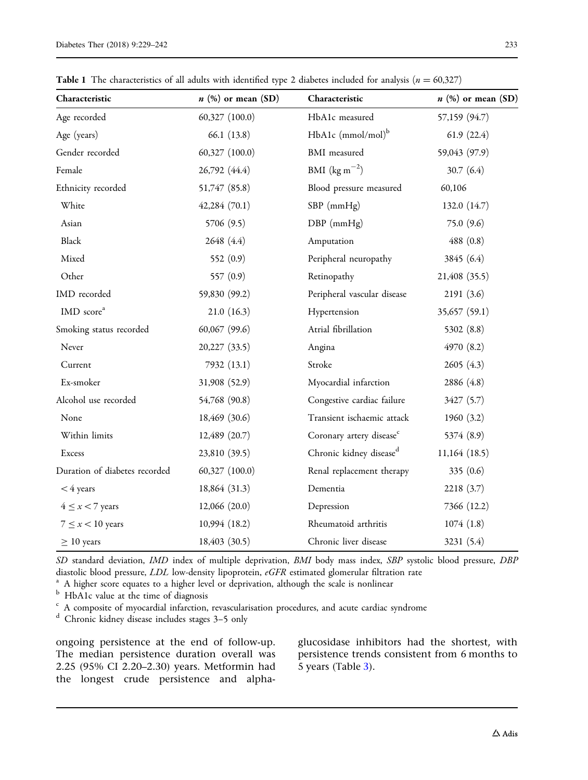| Characteristic                | $n$ (%) or mean (SD) | Characteristic                       | $n$ (%) or mean (SD) |
|-------------------------------|----------------------|--------------------------------------|----------------------|
| Age recorded                  | 60,327 (100.0)       | HbA1c measured                       | 57,159 (94.7)        |
| Age (years)                   | 66.1(13.8)           | $HbA1c$ (mmol/mol) <sup>b</sup>      | 61.9(22.4)           |
| Gender recorded               | 60,327 (100.0)       | <b>BMI</b> measured                  | 59,043 (97.9)        |
| Female                        | 26,792 (44.4)        | BMI ( $\text{kg m}^{-2}$ )           | 30.7 $(6.4)$         |
| Ethnicity recorded            | 51,747 (85.8)        | Blood pressure measured              | 60,106               |
| White                         | 42,284 (70.1)        | $SBP$ (mmHg)                         | 132.0 (14.7)         |
| Asian                         | 5706 (9.5)           | $DBP$ (mmHg)                         | 75.0(9.6)            |
| <b>Black</b>                  | 2648 (4.4)           | Amputation                           | 488 (0.8)            |
| Mixed                         | 552 (0.9)            | Peripheral neuropathy                | 3845 (6.4)           |
| Other                         | 557 (0.9)            | Retinopathy                          | 21,408 (35.5)        |
| IMD recorded                  | 59,830 (99.2)        | Peripheral vascular disease          | 2191(3.6)            |
| IMD score <sup>a</sup>        | 21.0(16.3)           | Hypertension                         | 35,657 (59.1)        |
| Smoking status recorded       | $60,067$ (99.6)      | Atrial fibrillation                  | 5302 (8.8)           |
| Never                         | 20,227 (33.5)        | Angina                               | 4970 (8.2)           |
| Current                       | 7932 (13.1)          | Stroke                               | 2605(4.3)            |
| Ex-smoker                     | 31,908 (52.9)        | Myocardial infarction                | 2886 (4.8)           |
| Alcohol use recorded          | 54,768 (90.8)        | Congestive cardiac failure           | 3427 (5.7)           |
| None                          | 18,469 (30.6)        | Transient ischaemic attack           | 1960(3.2)            |
| Within limits                 | 12,489 (20.7)        | Coronary artery disease <sup>c</sup> | 5374 (8.9)           |
| Excess                        | 23,810 (39.5)        | Chronic kidney disease <sup>d</sup>  | 11,164 (18.5)        |
| Duration of diabetes recorded | 60,327 (100.0)       | Renal replacement therapy            | 335 $(0.6)$          |
| $<$ 4 years                   | 18,864 (31.3)        | Dementia                             | 2218(3.7)            |
| $4 \leq x < 7$ years          | 12,066 (20.0)        | Depression                           | 7366 (12.2)          |
| $7 \leq x < 10$ years         | 10,994 (18.2)        | Rheumatoid arthritis                 | 1074(1.8)            |
| $\geq 10$ years               | 18,403 (30.5)        | Chronic liver disease                | 3231 (5.4)           |

<span id="page-4-0"></span>Table 1 The characteristics of all adults with identified type 2 diabetes included for analysis ( $n = 60,327$ )

SD standard deviation, IMD index of multiple deprivation, BMI body mass index, SBP systolic blood pressure, DBP diastolic blood pressure, *LDL* low-density lipoprotein, *eGFR* estimated glomerular filtration rate a A higher score equates to a higher level or deprivation, although the scale is nonlinear b HbA1c value at the time of

 $\degree$  A composite of myocardial infarction, revascularisation procedures, and acute cardiac syndrome

<sup>d</sup> Chronic kidney disease includes stages 3–5 only

ongoing persistence at the end of follow-up. The median persistence duration overall was 2.25 (95% CI 2.20–2.30) years. Metformin had the longest crude persistence and alphaglucosidase inhibitors had the shortest, with persistence trends consistent from 6 months to 5 years (Table [3\)](#page-5-0).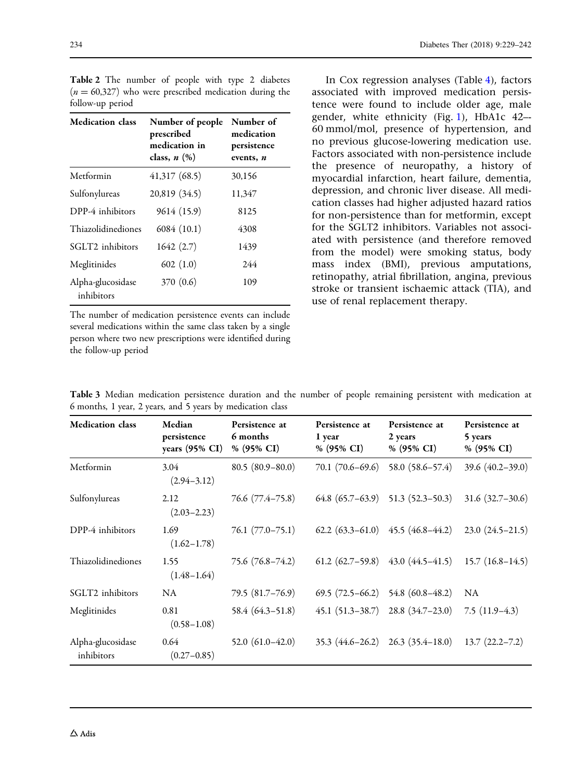follow-up period

| <b>Medication</b> class         | Number of people<br>prescribed<br>medication in<br>class, $n$ $(\%)$ | Number of<br>medication<br>persistence<br>events, n |
|---------------------------------|----------------------------------------------------------------------|-----------------------------------------------------|
| Metformin                       | 41,317(68.5)                                                         | 30,156                                              |
| Sulfonylureas                   | 20,819 (34.5)                                                        | 11,347                                              |
| DPP-4 inhibitors                | 9614 (15.9)                                                          | 8125                                                |
| Thiazolidinediones              | 6084(10.1)                                                           | 4308                                                |
| SGLT2 inhibitors                | 1642(2.7)                                                            | 1439                                                |
| Meglitinides                    | 602(1.0)                                                             | 244                                                 |
| Alpha-glucosidase<br>inhibitors | 370 (0.6)                                                            | 109                                                 |

<span id="page-5-0"></span>Table 2 The number of people with type 2 diabetes  $(n = 60,327)$  who were prescribed medication during the

The number of medication persistence events can include several medications within the same class taken by a single person where two new prescriptions were identified during the follow-up period

In Cox regression analyses (Table [4](#page-6-0)), factors associated with improved medication persistence were found to include older age, male gender, white ethnicity (Fig. [1\)](#page-8-0), HbA1c 42–- 60 mmol/mol, presence of hypertension, and no previous glucose-lowering medication use. Factors associated with non-persistence include the presence of neuropathy, a history of myocardial infarction, heart failure, dementia, depression, and chronic liver disease. All medication classes had higher adjusted hazard ratios for non-persistence than for metformin, except for the SGLT2 inhibitors. Variables not associated with persistence (and therefore removed from the model) were smoking status, body mass index (BMI), previous amputations, retinopathy, atrial fibrillation, angina, previous stroke or transient ischaemic attack (TIA), and use of renal replacement therapy.

| <b>Medication class</b>         | Median<br>persistence<br>years (95% CI) | Persistence at<br>6 months<br>% (95% CI) | Persistence at<br>1 year<br>% (95% CI) | Persistence at<br>2 years<br>% (95% CI) | Persistence at<br>5 years<br>% (95% CI) |
|---------------------------------|-----------------------------------------|------------------------------------------|----------------------------------------|-----------------------------------------|-----------------------------------------|
| Metformin                       | 3.04<br>$(2.94 - 3.12)$                 | $80.5(80.9-80.0)$                        | $70.1(70.6-69.6)$                      | $58.0 (58.6 - 57.4)$                    | $39.6(40.2 - 39.0)$                     |
| Sulfonylureas                   | 2.12<br>$(2.03 - 2.23)$                 | 76.6 (77.4–75.8)                         | $64.8(65.7-63.9)$                      | $51.3(52.3-50.3)$                       | $31.6(32.7-30.6)$                       |
| DPP-4 inhibitors                | 1.69<br>$(1.62 - 1.78)$                 | $76.1 (77.0 - 75.1)$                     |                                        | 62.2 $(63.3-61.0)$ 45.5 $(46.8-44.2)$   | $23.0(24.5-21.5)$                       |
| Thiazolidinediones              | 1.55<br>$(1.48 - 1.64)$                 | $75.6(76.8-74.2)$                        |                                        | 61.2 (62.7–59.8) 43.0 (44.5–41.5)       | $15.7(16.8-14.5)$                       |
| SGLT2 inhibitors                | NA.                                     | $79.5(81.7-76.9)$                        | $69.5(72.5-66.2)$                      | $54.8(60.8-48.2)$                       | <b>NA</b>                               |
| Meglitinides                    | 0.81<br>$(0.58 - 1.08)$                 | $58.4(64.3-51.8)$                        | $45.1(51.3-38.7)$                      | $28.8(34.7-23.0)$                       | $7.5(11.9-4.3)$                         |
| Alpha-glucosidase<br>inhibitors | 0.64<br>$(0.27 - 0.85)$                 | $52.0(61.0-42.0)$                        | $35.3(44.6-26.2)$                      | $26.3(35.4-18.0)$                       | $13.7(22.2 - 7.2)$                      |

Table 3 Median medication persistence duration and the number of people remaining persistent with medication at 6 months, 1 year, 2 years, and 5 years by medication class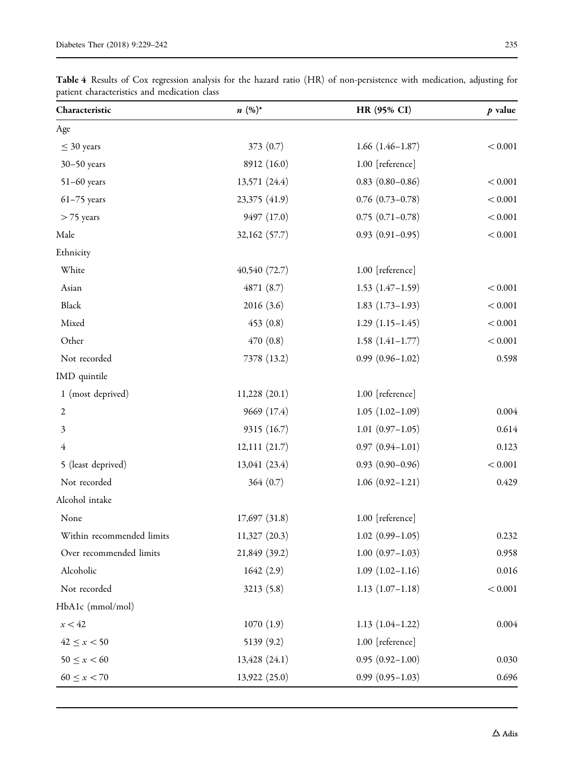| Characteristic            | $n (%)^*$     | HR (95% CI)            | $p$ value   |
|---------------------------|---------------|------------------------|-------------|
| Age                       |               |                        |             |
| $\leq 30$ years           | 373 (0.7)     | $1.66(1.46 - 1.87)$    | $< 0.001\,$ |
| $30 - 50$ years           | 8912 (16.0)   | 1.00 [reference]       |             |
| $51-60$ years             | 13,571 (24.4) | $0.83$ $(0.80 - 0.86)$ | $< 0.001$   |
| $61-75$ years             | 23,375 (41.9) | $0.76$ $(0.73 - 0.78)$ | $< 0.001$   |
| $> 75$ years              | 9497 (17.0)   | $0.75$ $(0.71 - 0.78)$ | $< 0.001$   |
| Male                      | 32,162 (57.7) | $0.93(0.91 - 0.95)$    | < 0.001     |
| Ethnicity                 |               |                        |             |
| White                     | 40,540 (72.7) | 1.00 [reference]       |             |
| Asian                     | 4871 (8.7)    | $1.53(1.47-1.59)$      | $< 0.001$   |
| Black                     | 2016 (3.6)    | $1.83(1.73-1.93)$      | $< 0.001$   |
| Mixed                     | 453 (0.8)     | $1.29(1.15-1.45)$      | $< 0.001$   |
| Other                     | 470 (0.8)     | $1.58(1.41 - 1.77)$    | < 0.001     |
| Not recorded              | 7378 (13.2)   | $0.99(0.96 - 1.02)$    | 0.598       |
| IMD quintile              |               |                        |             |
| 1 (most deprived)         | 11,228(20.1)  | 1.00 [reference]       |             |
| $\mathbf{2}$              | 9669 (17.4)   | $1.05(1.02 - 1.09)$    | 0.004       |
| 3                         | 9315 (16.7)   | $1.01(0.97-1.05)$      | 0.614       |
| 4                         | 12,111(21.7)  | $0.97(0.94 - 1.01)$    | 0.123       |
| 5 (least deprived)        | 13,041 (23.4) | $0.93(0.90 - 0.96)$    | $< 0.001\,$ |
| Not recorded              | 364 (0.7)     | $1.06(0.92 - 1.21)$    | 0.429       |
| Alcohol intake            |               |                        |             |
| None                      | 17,697 (31.8) | 1.00 [reference]       |             |
| Within recommended limits | 11,327(20.3)  | $1.02(0.99 - 1.05)$    | 0.232       |
| Over recommended limits   | 21,849 (39.2) | $1.00(0.97-1.03)$      | 0.958       |
| Alcoholic                 | 1642(2.9)     | $1.09(1.02 - 1.16)$    | $0.016\,$   |
| Not recorded              | 3213(5.8)     | $1.13(1.07-1.18)$      | < 0.001     |
| HbA1c (mmol/mol)          |               |                        |             |
| x < 42                    | 1070(1.9)     | $1.13(1.04-1.22)$      | 0.004       |
| $42 \leq x < 50$          | 5139(9.2)     | 1.00 [reference]       |             |
| $50 \le x < 60$           | 13,428 (24.1) | $0.95(0.92 - 1.00)$    | 0.030       |
| $60 \le x < 70$           | 13,922 (25.0) | $0.99(0.95 - 1.03)$    | 0.696       |

<span id="page-6-0"></span>Table 4 Results of Cox regression analysis for the hazard ratio (HR) of non-persistence with medication, adjusting for patient characteristics and medication class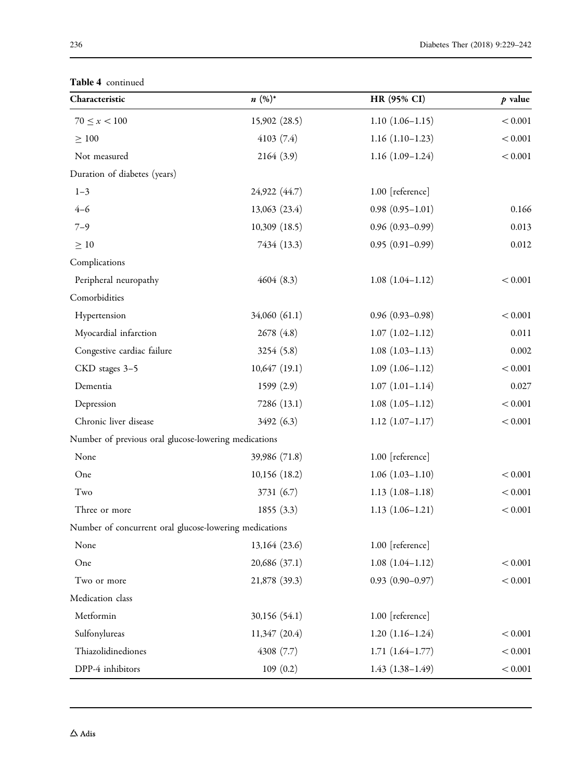| Table 4 continued                                      |                 |                     |           |  |
|--------------------------------------------------------|-----------------|---------------------|-----------|--|
| Characteristic                                         | $n (%)^*$       | HR (95% CI)         | $p$ value |  |
| $70 \le x < 100$                                       | 15,902 (28.5)   | $1.10(1.06-1.15)$   | < 0.001   |  |
| $\geq 100$                                             | 4103(7.4)       | $1.16(1.10-1.23)$   | < 0.001   |  |
| Not measured                                           | 2164(3.9)       | $1.16(1.09-1.24)$   | < 0.001   |  |
| Duration of diabetes (years)                           |                 |                     |           |  |
| $1 - 3$                                                | 24,922 (44.7)   | 1.00 [reference]    |           |  |
| $4 - 6$                                                | 13,063 (23.4)   | $0.98(0.95 - 1.01)$ | 0.166     |  |
| $7 - 9$                                                | 10,309 (18.5)   | $0.96(0.93 - 0.99)$ | 0.013     |  |
| $\geq 10$                                              | 7434 (13.3)     | $0.95(0.91 - 0.99)$ | 0.012     |  |
| Complications                                          |                 |                     |           |  |
| Peripheral neuropathy                                  | 4604(8.3)       | $1.08(1.04 - 1.12)$ | < 0.001   |  |
| Comorbidities                                          |                 |                     |           |  |
| Hypertension                                           | 34,060 (61.1)   | $0.96(0.93 - 0.98)$ | < 0.001   |  |
| Myocardial infarction                                  | 2678 (4.8)      | $1.07(1.02 - 1.12)$ | 0.011     |  |
| Congestive cardiac failure                             | 3254 (5.8)      | $1.08(1.03-1.13)$   | 0.002     |  |
| CKD stages 3-5                                         | $10,647$ (19.1) | $1.09(1.06-1.12)$   | < 0.001   |  |
| Dementia                                               | 1599(2.9)       | $1.07(1.01 - 1.14)$ | 0.027     |  |
| Depression                                             | 7286 (13.1)     | $1.08(1.05-1.12)$   | < 0.001   |  |
| Chronic liver disease                                  | 3492 (6.3)      | $1.12(1.07-1.17)$   | < 0.001   |  |
| Number of previous oral glucose-lowering medications   |                 |                     |           |  |
| None                                                   | 39,986 (71.8)   | 1.00 [reference]    |           |  |
| One                                                    | 10,156 (18.2)   | $1.06(1.03-1.10)$   | < 0.001   |  |
| Two                                                    | 3731 (6.7)      | $1.13(1.08-1.18)$   | < 0.001   |  |
| Three or more                                          | 1855(3.3)       | $1.13(1.06-1.21)$   | < 0.001   |  |
| Number of concurrent oral glucose-lowering medications |                 |                     |           |  |
| None                                                   | 13,164 (23.6)   | 1.00 [reference]    |           |  |
| One                                                    | 20,686 (37.1)   | $1.08(1.04 - 1.12)$ | < 0.001   |  |
| Two or more                                            | 21,878 (39.3)   | $0.93(0.90 - 0.97)$ | < 0.001   |  |
| Medication class                                       |                 |                     |           |  |
| Metformin                                              | 30,156 (54.1)   | 1.00 [reference]    |           |  |
| Sulfonylureas                                          | 11,347 (20.4)   | $1.20(1.16-1.24)$   | < 0.001   |  |
| Thiazolidinediones                                     | 4308 (7.7)      | $1.71(1.64 - 1.77)$ | < 0.001   |  |
| DPP-4 inhibitors                                       | 109(0.2)        | $1.43(1.38-1.49)$   | < 0.001   |  |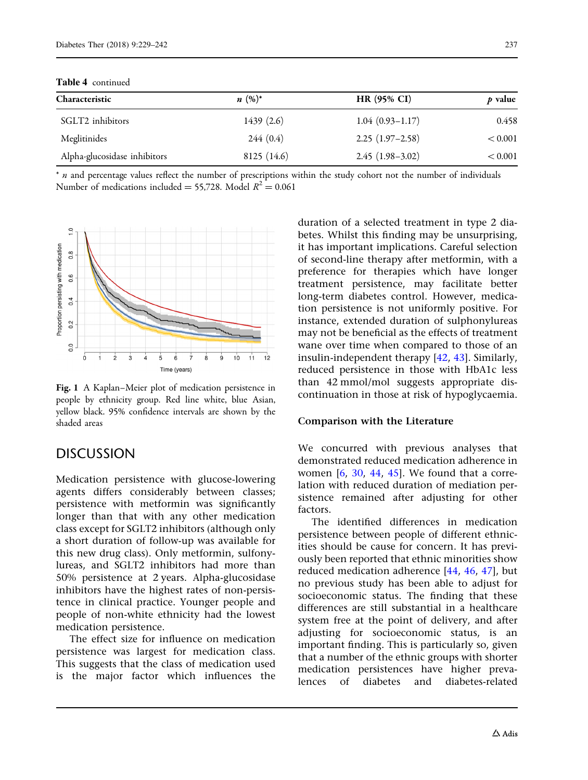| Characteristic               | $n (%)^*$   | HR (95% CI)         | $p$ value |
|------------------------------|-------------|---------------------|-----------|
| SGLT2 inhibitors             | 1439(2.6)   | $1.04(0.93 - 1.17)$ | 0.458     |
| Meglitinides                 | 244(0.4)    | $2.25(1.97-2.58)$   | < 0.001   |
| Alpha-glucosidase inhibitors | 8125 (14.6) | $2.45(1.98-3.02)$   | < 0.001   |

<span id="page-8-0"></span>Table 4 continued

 $*$  n and percentage values reflect the number of prescriptions within the study cohort not the number of individuals Number of medications included = 55,728. Model  $R^2 = 0.061$ 



Fig. 1 A Kaplan–Meier plot of medication persistence in people by ethnicity group. Red line white, blue Asian, yellow black. 95% confidence intervals are shown by the shaded areas

### DISCUSSION

Medication persistence with glucose-lowering agents differs considerably between classes; persistence with metformin was significantly longer than that with any other medication class except for SGLT2 inhibitors (although only a short duration of follow-up was available for this new drug class). Only metformin, sulfonylureas, and SGLT2 inhibitors had more than 50% persistence at 2 years. Alpha-glucosidase inhibitors have the highest rates of non-persistence in clinical practice. Younger people and people of non-white ethnicity had the lowest medication persistence.

The effect size for influence on medication persistence was largest for medication class. This suggests that the class of medication used is the major factor which influences the

duration of a selected treatment in type 2 diabetes. Whilst this finding may be unsurprising, it has important implications. Careful selection of second-line therapy after metformin, with a preference for therapies which have longer treatment persistence, may facilitate better long-term diabetes control. However, medication persistence is not uniformly positive. For instance, extended duration of sulphonylureas may not be beneficial as the effects of treatment wane over time when compared to those of an insulin-independent therapy [\[42,](#page-12-0) [43](#page-12-0)]. Similarly, reduced persistence in those with HbA1c less than 42 mmol/mol suggests appropriate discontinuation in those at risk of hypoglycaemia.

#### Comparison with the Literature

We concurred with previous analyses that demonstrated reduced medication adherence in women  $[6, 30, 44, 45]$  $[6, 30, 44, 45]$  $[6, 30, 44, 45]$  $[6, 30, 44, 45]$  $[6, 30, 44, 45]$  $[6, 30, 44, 45]$  $[6, 30, 44, 45]$  $[6, 30, 44, 45]$  $[6, 30, 44, 45]$ . We found that a correlation with reduced duration of mediation persistence remained after adjusting for other factors.

The identified differences in medication persistence between people of different ethnicities should be cause for concern. It has previously been reported that ethnic minorities show reduced medication adherence [[44](#page-12-0), [46,](#page-12-0) [47](#page-12-0)], but no previous study has been able to adjust for socioeconomic status. The finding that these differences are still substantial in a healthcare system free at the point of delivery, and after adjusting for socioeconomic status, is an important finding. This is particularly so, given that a number of the ethnic groups with shorter medication persistences have higher prevalences of diabetes and diabetes-related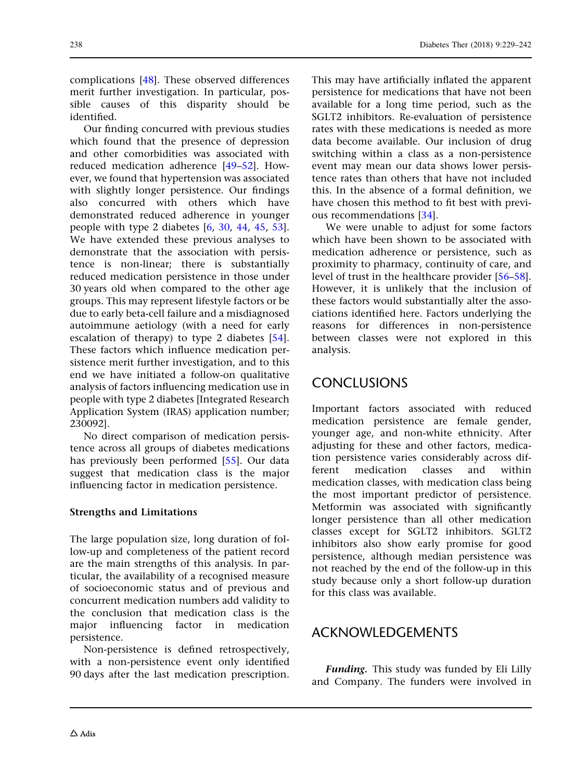complications [\[48\]](#page-12-0). These observed differences merit further investigation. In particular, possible causes of this disparity should be identified.

Our finding concurred with previous studies which found that the presence of depression and other comorbidities was associated with reduced medication adherence [[49–52](#page-12-0)]. However, we found that hypertension was associated with slightly longer persistence. Our findings also concurred with others which have demonstrated reduced adherence in younger people with type 2 diabetes [\[6,](#page-10-0) [30,](#page-11-0) [44,](#page-12-0) [45](#page-12-0), [53](#page-12-0)]. We have extended these previous analyses to demonstrate that the association with persistence is non-linear; there is substantially reduced medication persistence in those under 30 years old when compared to the other age groups. This may represent lifestyle factors or be due to early beta-cell failure and a misdiagnosed autoimmune aetiology (with a need for early escalation of therapy) to type 2 diabetes [[54](#page-12-0)]. These factors which influence medication persistence merit further investigation, and to this end we have initiated a follow-on qualitative analysis of factors influencing medication use in people with type 2 diabetes [Integrated Research Application System (IRAS) application number; 230092].

No direct comparison of medication persistence across all groups of diabetes medications has previously been performed [\[55\]](#page-12-0). Our data suggest that medication class is the major influencing factor in medication persistence.

#### Strengths and Limitations

The large population size, long duration of follow-up and completeness of the patient record are the main strengths of this analysis. In particular, the availability of a recognised measure of socioeconomic status and of previous and concurrent medication numbers add validity to the conclusion that medication class is the major influencing factor in medication persistence.

Non-persistence is defined retrospectively, with a non-persistence event only identified 90 days after the last medication prescription.

This may have artificially inflated the apparent persistence for medications that have not been available for a long time period, such as the SGLT2 inhibitors. Re-evaluation of persistence rates with these medications is needed as more data become available. Our inclusion of drug switching within a class as a non-persistence event may mean our data shows lower persistence rates than others that have not included this. In the absence of a formal definition, we have chosen this method to fit best with previous recommendations [[34](#page-12-0)].

We were unable to adjust for some factors which have been shown to be associated with medication adherence or persistence, such as proximity to pharmacy, continuity of care, and level of trust in the healthcare provider [\[56–](#page-12-0)[58](#page-13-0)]. However, it is unlikely that the inclusion of these factors would substantially alter the associations identified here. Factors underlying the reasons for differences in non-persistence between classes were not explored in this analysis.

### **CONCLUSIONS**

Important factors associated with reduced medication persistence are female gender, younger age, and non-white ethnicity. After adjusting for these and other factors, medication persistence varies considerably across different medication classes and within medication classes, with medication class being the most important predictor of persistence. Metformin was associated with significantly longer persistence than all other medication classes except for SGLT2 inhibitors. SGLT2 inhibitors also show early promise for good persistence, although median persistence was not reached by the end of the follow-up in this study because only a short follow-up duration for this class was available.

#### ACKNOWLEDGEMENTS

Funding. This study was funded by Eli Lilly and Company. The funders were involved in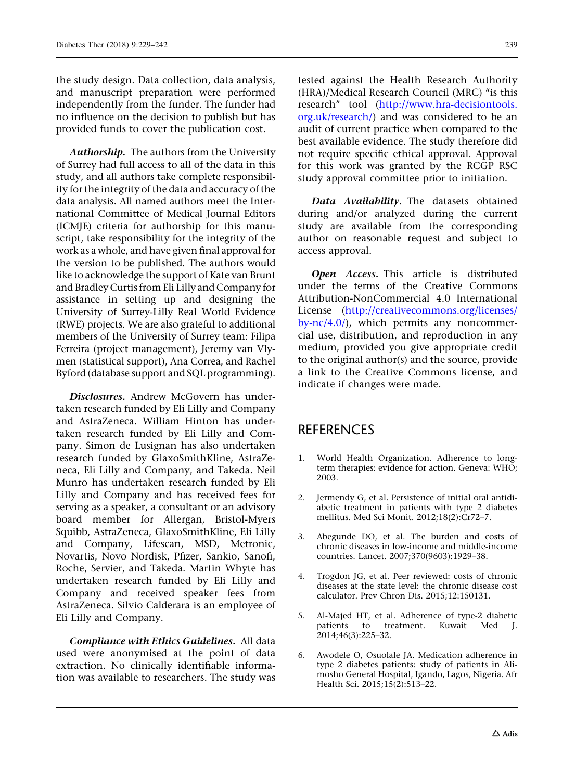<span id="page-10-0"></span>the study design. Data collection, data analysis, and manuscript preparation were performed independently from the funder. The funder had no influence on the decision to publish but has provided funds to cover the publication cost.

Authorship. The authors from the University of Surrey had full access to all of the data in this study, and all authors take complete responsibility for the integrity of the data and accuracy of the data analysis. All named authors meet the International Committee of Medical Journal Editors (ICMJE) criteria for authorship for this manuscript, take responsibility for the integrity of the work as a whole, and have given final approval for the version to be published. The authors would like to acknowledge the support of Kate van Brunt and Bradley Curtis from Eli Lilly and Company for assistance in setting up and designing the University of Surrey-Lilly Real World Evidence (RWE) projects. We are also grateful to additional members of the University of Surrey team: Filipa Ferreira (project management), Jeremy van Vlymen (statistical support), Ana Correa, and Rachel Byford (database support and SQL programming).

Disclosures. Andrew McGovern has undertaken research funded by Eli Lilly and Company and AstraZeneca. William Hinton has undertaken research funded by Eli Lilly and Company. Simon de Lusignan has also undertaken research funded by GlaxoSmithKline, AstraZeneca, Eli Lilly and Company, and Takeda. Neil Munro has undertaken research funded by Eli Lilly and Company and has received fees for serving as a speaker, a consultant or an advisory board member for Allergan, Bristol-Myers Squibb, AstraZeneca, GlaxoSmithKline, Eli Lilly and Company, Lifescan, MSD, Metronic, Novartis, Novo Nordisk, Pfizer, Sankio, Sanofi, Roche, Servier, and Takeda. Martin Whyte has undertaken research funded by Eli Lilly and Company and received speaker fees from AstraZeneca. Silvio Calderara is an employee of Eli Lilly and Company.

Compliance with Ethics Guidelines. All data used were anonymised at the point of data extraction. No clinically identifiable information was available to researchers. The study was

tested against the Health Research Authority (HRA)/Medical Research Council (MRC) ''is this research'' tool ([http://www.hra-decisiontools.](http://www.hra-decisiontools.org.uk/research/) [org.uk/research/\)](http://www.hra-decisiontools.org.uk/research/) and was considered to be an audit of current practice when compared to the best available evidence. The study therefore did not require specific ethical approval. Approval for this work was granted by the RCGP RSC study approval committee prior to initiation.

Data Availability. The datasets obtained during and/or analyzed during the current study are available from the corresponding author on reasonable request and subject to access approval.

Open Access. This article is distributed under the terms of the Creative Commons Attribution-NonCommercial 4.0 International License ([http://creativecommons.org/licenses/](http://creativecommons.org/licenses/by-nc/4.0/) by- $\frac{nc}{4.0}$ , which permits any noncommercial use, distribution, and reproduction in any medium, provided you give appropriate credit to the original author(s) and the source, provide a link to the Creative Commons license, and indicate if changes were made.

# **REFERENCES**

- 1. World Health Organization. Adherence to longterm therapies: evidence for action. Geneva: WHO; 2003.
- 2. Jermendy G, et al. Persistence of initial oral antidiabetic treatment in patients with type 2 diabetes mellitus. Med Sci Monit. 2012;18(2):Cr72–7.
- 3. Abegunde DO, et al. The burden and costs of chronic diseases in low-income and middle-income countries. Lancet. 2007;370(9603):1929–38.
- 4. Trogdon JG, et al. Peer reviewed: costs of chronic diseases at the state level: the chronic disease cost calculator. Prev Chron Dis. 2015;12:150131.
- 5. Al-Majed HT, et al. Adherence of type-2 diabetic patients to treatment. Kuwait Med J. 2014;46(3):225–32.
- 6. Awodele O, Osuolale JA. Medication adherence in type 2 diabetes patients: study of patients in Alimosho General Hospital, Igando, Lagos, Nigeria. Afr Health Sci. 2015;15(2):513–22.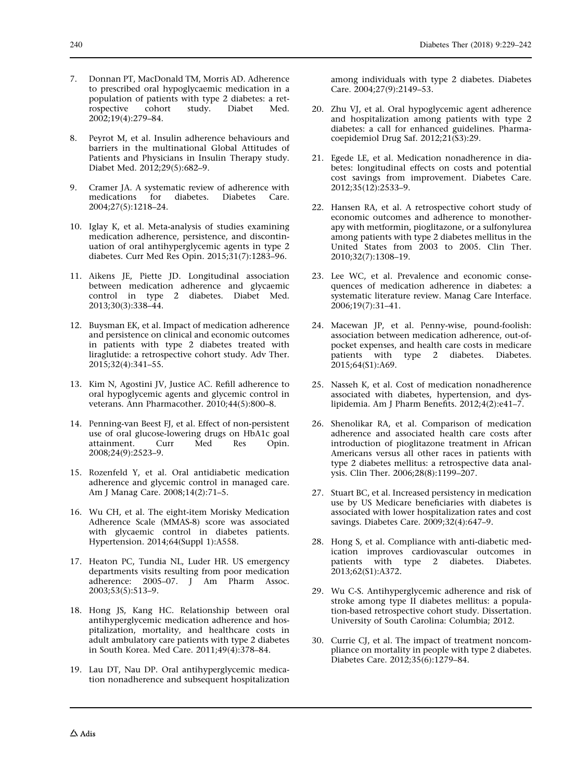- <span id="page-11-0"></span>7. Donnan PT, MacDonald TM, Morris AD. Adherence to prescribed oral hypoglycaemic medication in a population of patients with type 2 diabetes: a retrospective cohort study. Diabet Med. 2002;19(4):279–84.
- 8. Peyrot M, et al. Insulin adherence behaviours and barriers in the multinational Global Attitudes of Patients and Physicians in Insulin Therapy study. Diabet Med. 2012;29(5):682–9.
- 9. Cramer JA. A systematic review of adherence with medications for diabetes. Diabetes Care. 2004;27(5):1218–24.
- 10. Iglay K, et al. Meta-analysis of studies examining medication adherence, persistence, and discontinuation of oral antihyperglycemic agents in type 2 diabetes. Curr Med Res Opin. 2015;31(7):1283–96.
- 11. Aikens JE, Piette JD. Longitudinal association between medication adherence and glycaemic control in type 2 diabetes. Diabet Med. 2013;30(3):338–44.
- 12. Buysman EK, et al. Impact of medication adherence and persistence on clinical and economic outcomes in patients with type 2 diabetes treated with liraglutide: a retrospective cohort study. Adv Ther. 2015;32(4):341–55.
- 13. Kim N, Agostini JV, Justice AC. Refill adherence to oral hypoglycemic agents and glycemic control in veterans. Ann Pharmacother. 2010;44(5):800–8.
- 14. Penning-van Beest FJ, et al. Effect of non-persistent use of oral glucose-lowering drugs on HbA1c goal attainment. Curr Med Res Opin. 2008;24(9):2523–9.
- 15. Rozenfeld Y, et al. Oral antidiabetic medication adherence and glycemic control in managed care. Am J Manag Care. 2008;14(2):71–5.
- 16. Wu CH, et al. The eight-item Morisky Medication Adherence Scale (MMAS-8) score was associated with glycaemic control in diabetes patients. Hypertension. 2014;64(Suppl 1):A558.
- 17. Heaton PC, Tundia NL, Luder HR. US emergency departments visits resulting from poor medication adherence: 2005–07. J Am Pharm Assoc. 2003;53(5):513–9.
- 18. Hong JS, Kang HC. Relationship between oral antihyperglycemic medication adherence and hospitalization, mortality, and healthcare costs in adult ambulatory care patients with type 2 diabetes in South Korea. Med Care. 2011;49(4):378–84.
- 19. Lau DT, Nau DP. Oral antihyperglycemic medication nonadherence and subsequent hospitalization

among individuals with type 2 diabetes. Diabetes Care. 2004;27(9):2149–53.

- 20. Zhu VJ, et al. Oral hypoglycemic agent adherence and hospitalization among patients with type 2 diabetes: a call for enhanced guidelines. Pharmacoepidemiol Drug Saf. 2012;21(S3):29.
- 21. Egede LE, et al. Medication nonadherence in diabetes: longitudinal effects on costs and potential cost savings from improvement. Diabetes Care. 2012;35(12):2533–9.
- 22. Hansen RA, et al. A retrospective cohort study of economic outcomes and adherence to monotherapy with metformin, pioglitazone, or a sulfonylurea among patients with type 2 diabetes mellitus in the United States from 2003 to 2005. Clin Ther. 2010;32(7):1308–19.
- 23. Lee WC, et al. Prevalence and economic consequences of medication adherence in diabetes: a systematic literature review. Manag Care Interface. 2006;19(7):31–41.
- 24. Macewan JP, et al. Penny-wise, pound-foolish: association between medication adherence, out-ofpocket expenses, and health care costs in medicare patients with type 2 diabetes. Diabetes.  $2015;64(S1):A69.$
- 25. Nasseh K, et al. Cost of medication nonadherence associated with diabetes, hypertension, and dyslipidemia. Am J Pharm Benefits. 2012;4(2):e41–7.
- 26. Shenolikar RA, et al. Comparison of medication adherence and associated health care costs after introduction of pioglitazone treatment in African Americans versus all other races in patients with type 2 diabetes mellitus: a retrospective data analysis. Clin Ther. 2006;28(8):1199–207.
- 27. Stuart BC, et al. Increased persistency in medication use by US Medicare beneficiaries with diabetes is associated with lower hospitalization rates and cost savings. Diabetes Care. 2009;32(4):647–9.
- 28. Hong S, et al. Compliance with anti-diabetic medication improves cardiovascular outcomes in patients with type 2 diabetes. Diabetes. 2013;62(S1):A372.
- 29. Wu C-S. Antihyperglycemic adherence and risk of stroke among type II diabetes mellitus: a population-based retrospective cohort study. Dissertation. University of South Carolina: Columbia; 2012.
- 30. Currie CJ, et al. The impact of treatment noncompliance on mortality in people with type 2 diabetes. Diabetes Care. 2012;35(6):1279–84.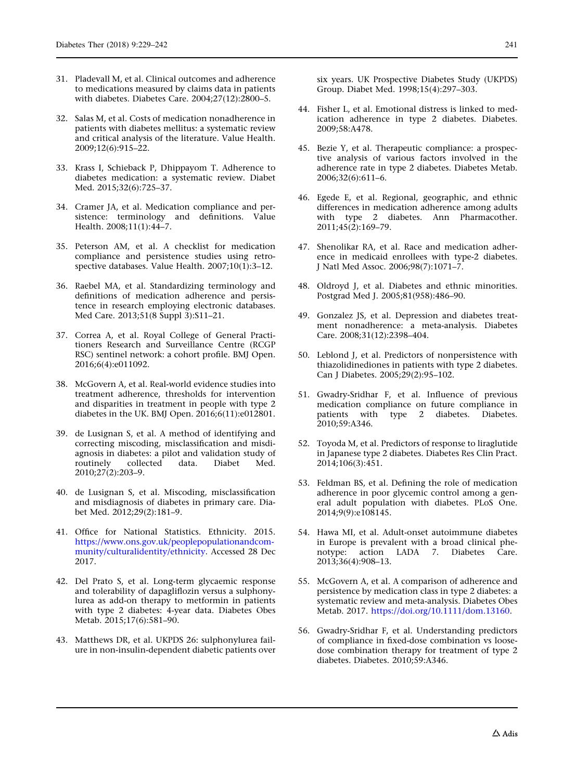- <span id="page-12-0"></span>31. Pladevall M, et al. Clinical outcomes and adherence to medications measured by claims data in patients with diabetes. Diabetes Care. 2004;27(12):2800–5.
- 32. Salas M, et al. Costs of medication nonadherence in patients with diabetes mellitus: a systematic review and critical analysis of the literature. Value Health. 2009;12(6):915–22.
- 33. Krass I, Schieback P, Dhippayom T. Adherence to diabetes medication: a systematic review. Diabet Med. 2015;32(6):725–37.
- 34. Cramer JA, et al. Medication compliance and persistence: terminology and definitions. Value Health. 2008;11(1):44-7.
- 35. Peterson AM, et al. A checklist for medication compliance and persistence studies using retrospective databases. Value Health. 2007;10(1):3–12.
- 36. Raebel MA, et al. Standardizing terminology and definitions of medication adherence and persistence in research employing electronic databases. Med Care. 2013;51(8 Suppl 3):S11–21.
- 37. Correa A, et al. Royal College of General Practitioners Research and Surveillance Centre (RCGP RSC) sentinel network: a cohort profile. BMJ Open. 2016;6(4):e011092.
- 38. McGovern A, et al. Real-world evidence studies into treatment adherence, thresholds for intervention and disparities in treatment in people with type 2 diabetes in the UK. BMJ Open. 2016;6(11):e012801.
- 39. de Lusignan S, et al. A method of identifying and correcting miscoding, misclassification and misdiagnosis in diabetes: a pilot and validation study of routinely collected data. Diabet Med. 2010;27(2):203–9.
- 40. de Lusignan S, et al. Miscoding, misclassification and misdiagnosis of diabetes in primary care. Diabet Med. 2012;29(2):181–9.
- 41. Office for National Statistics. Ethnicity. 2015. [https://www.ons.gov.uk/peoplepopulationandcom](https://www.ons.gov.uk/peoplepopulationandcommunity/culturalidentity/ethnicity)[munity/culturalidentity/ethnicity](https://www.ons.gov.uk/peoplepopulationandcommunity/culturalidentity/ethnicity). Accessed 28 Dec 2017.
- 42. Del Prato S, et al. Long-term glycaemic response and tolerability of dapagliflozin versus a sulphonylurea as add-on therapy to metformin in patients with type 2 diabetes: 4-year data. Diabetes Obes Metab. 2015;17(6):581–90.
- 43. Matthews DR, et al. UKPDS 26: sulphonylurea failure in non-insulin-dependent diabetic patients over

six years. UK Prospective Diabetes Study (UKPDS) Group. Diabet Med. 1998;15(4):297–303.

- 44. Fisher L, et al. Emotional distress is linked to medication adherence in type 2 diabetes. Diabetes. 2009;58:A478.
- 45. Bezie Y, et al. Therapeutic compliance: a prospective analysis of various factors involved in the adherence rate in type 2 diabetes. Diabetes Metab. 2006;32(6):611–6.
- 46. Egede E, et al. Regional, geographic, and ethnic differences in medication adherence among adults with type 2 diabetes. Ann Pharmacother. 2011;45(2):169–79.
- 47. Shenolikar RA, et al. Race and medication adherence in medicaid enrollees with type-2 diabetes. J Natl Med Assoc. 2006;98(7):1071–7.
- 48. Oldroyd J, et al. Diabetes and ethnic minorities. Postgrad Med J. 2005;81(958):486–90.
- 49. Gonzalez JS, et al. Depression and diabetes treatment nonadherence: a meta-analysis. Diabetes Care. 2008;31(12):2398–404.
- 50. Leblond J, et al. Predictors of nonpersistence with thiazolidinediones in patients with type 2 diabetes. Can J Diabetes. 2005;29(2):95–102.
- 51. Gwadry-Sridhar F, et al. Influence of previous medication compliance on future compliance in patients with type 2 diabetes. Diabetes. 2010;59:A346.
- 52. Toyoda M, et al. Predictors of response to liraglutide in Japanese type 2 diabetes. Diabetes Res Clin Pract. 2014;106(3):451.
- 53. Feldman BS, et al. Defining the role of medication adherence in poor glycemic control among a general adult population with diabetes. PLoS One. 2014;9(9):e108145.
- 54. Hawa MI, et al. Adult-onset autoimmune diabetes in Europe is prevalent with a broad clinical phenotype: action LADA 7. Diabetes Care. 2013;36(4):908–13.
- 55. McGovern A, et al. A comparison of adherence and persistence by medication class in type 2 diabetes: a systematic review and meta-analysis. Diabetes Obes Metab. 2017. [https://doi.org/10.1111/dom.13160.](http://dx.doi.org/10.1111/dom.13160)
- 56. Gwadry-Sridhar F, et al. Understanding predictors of compliance in fixed-dose combination vs loosedose combination therapy for treatment of type 2 diabetes. Diabetes. 2010;59:A346.